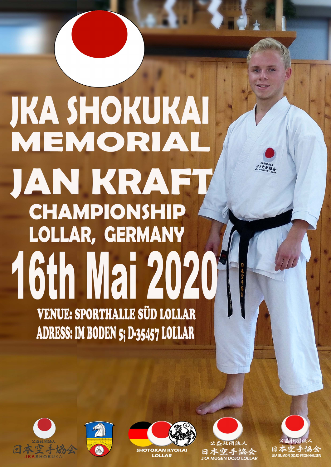# **JKA SHOKUKAI** MEMORIAL JAN KRAFT **CHAMPIONSHIP LOLLAR, GERMANY 16th Mai 20201 VENUE: SPORTHALLE SÜD LOLLAR** ADRESS: IM BODEN 5; D-35457 LOLLAR







**OTOKAN KYOKA LOLLAR** 

日本空手協会<br>JKA MUGEN DOJO LOLLAR

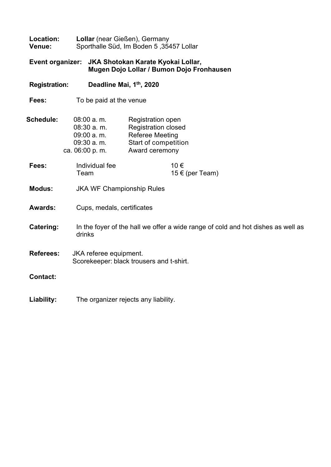| Location:<br>Venue:  | Lollar (near Gießen), Germany<br>Sporthalle Süd, Im Boden 5, 35457 Lollar                  |                                                                                                                     |  |
|----------------------|--------------------------------------------------------------------------------------------|---------------------------------------------------------------------------------------------------------------------|--|
| Event organizer:     |                                                                                            | JKA Shotokan Karate Kyokai Lollar,<br>Mugen Dojo Lollar / Bumon Dojo Fronhausen                                     |  |
| <b>Registration:</b> |                                                                                            | Deadline Mai, 1th, 2020                                                                                             |  |
| Fees:                | To be paid at the venue                                                                    |                                                                                                                     |  |
| Schedule:            | $08:00$ a.m.<br>08:30 a.m.<br>09:00 a.m.<br>09:30 a.m.<br>ca. 06:00 p. m.                  | Registration open<br><b>Registration closed</b><br><b>Referee Meeting</b><br>Start of competition<br>Award ceremony |  |
| Fees:                | Individual fee<br>Team                                                                     | 10€<br>15 € (per Team)                                                                                              |  |
| <b>Modus:</b>        | <b>JKA WF Championship Rules</b>                                                           |                                                                                                                     |  |
| Awards:              |                                                                                            | Cups, medals, certificates                                                                                          |  |
| Catering:            | In the foyer of the hall we offer a wide range of cold and hot dishes as well as<br>drinks |                                                                                                                     |  |
| <b>Referees:</b>     | JKA referee equipment.<br>Scorekeeper: black trousers and t-shirt.                         |                                                                                                                     |  |
| <b>Contact:</b>      |                                                                                            |                                                                                                                     |  |
| Liability:           |                                                                                            | The organizer rejects any liability.                                                                                |  |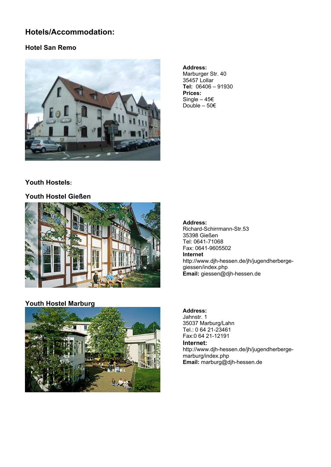## **Hotels/Accommodation:**

#### **Hotel San Remo**



**Address:**  Marburger Str. 40 35457 Lollar **Tel:** 06406 – 91930 **Prices:**  Single –  $45€$ Double – 50€

### **Youth Hostels:**

#### **Youth Hostel Gießen**



#### **Youth Hostel Marburg**



#### **Address:**

Richard-Schirrmann-Str.53 35398 Gießen Tel: 0641-71068 Fax: 0641-9605502 **Internet**  http://www.djh-hessen.de/jh/jugendherbergegiessen/index.php **Email:** giessen@djh-hessen.de

#### **Address:**

Jahnstr. 1 35037 Marburg/Lahn Tel.: 0 64 21-23461 Fax:0 64 21-12191

#### **Internet:**

http://www.djh-hessen.de/jh/jugendherbergemarburg/index.php **Email:** marburg@djh-hessen.de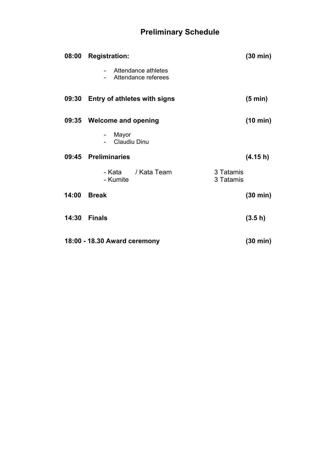## **Preliminary Schedule**

| 08:00 | <b>Registration:</b>                                 | $(30 \text{ min})$     |
|-------|------------------------------------------------------|------------------------|
|       | Attendance athletes<br>$\sim$<br>Attendance referees |                        |
| 09:30 | <b>Entry of athletes with signs</b>                  | $(5 \text{ min})$      |
|       | 09:35 Welcome and opening                            | $(10 \text{ min})$     |
|       | Mayor<br>$\blacksquare$<br>Claudiu Dinu              |                        |
| 09:45 | <b>Preliminaries</b>                                 | (4.15 h)               |
|       | - Kata / Kata Team<br>- Kumite                       | 3 Tatamis<br>3 Tatamis |
| 14:00 | <b>Break</b>                                         | $(30 \text{ min})$     |
| 14:30 | <b>Finals</b>                                        | (3.5 h)                |
|       | 18:00 - 18.30 Award ceremony                         | (30 min)               |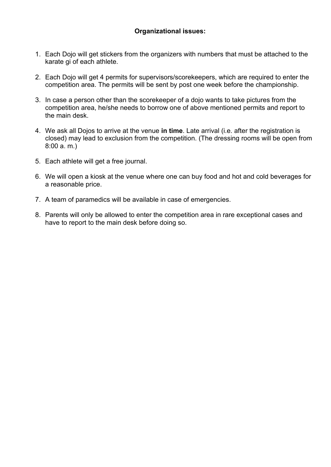#### **Organizational issues:**

- 1. Each Dojo will get stickers from the organizers with numbers that must be attached to the karate gi of each athlete.
- 2. Each Dojo will get 4 permits for supervisors/scorekeepers, which are required to enter the competition area. The permits will be sent by post one week before the championship.
- 3. In case a person other than the scorekeeper of a dojo wants to take pictures from the competition area, he/she needs to borrow one of above mentioned permits and report to the main desk.
- 4. We ask all Dojos to arrive at the venue **in time**. Late arrival (i.e. after the registration is closed) may lead to exclusion from the competition. (The dressing rooms will be open from 8:00 a. m.)
- 5. Each athlete will get a free journal.
- 6. We will open a kiosk at the venue where one can buy food and hot and cold beverages for a reasonable price.
- 7. A team of paramedics will be available in case of emergencies.
- 8. Parents will only be allowed to enter the competition area in rare exceptional cases and have to report to the main desk before doing so.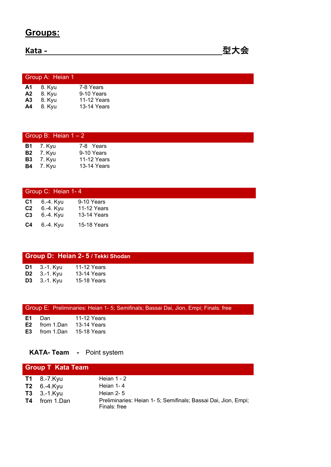## **Groups:**

**Kata -** 型大会

|                             | Group A: Heian 1                                         |                                                       |
|-----------------------------|----------------------------------------------------------|-------------------------------------------------------|
| A <sub>3</sub><br><b>A4</b> | <b>A1</b> 8. Kyu<br><b>A2</b> 8. Kyu<br>8. Kyu<br>8. Kvu | 7-8 Years<br>9-10 Years<br>11-12 Years<br>13-14 Years |

| Group B: Heian $1 - 2$ |                  |             |  |
|------------------------|------------------|-------------|--|
|                        | <b>B1</b> 7. Kyu | 7-8 Years   |  |
|                        | <b>B2</b> 7. Kyu | 9-10 Years  |  |
|                        | <b>B3</b> 7. Kyu | 11-12 Years |  |
|                        | <b>B4</b> 7. Kyu | 13-14 Years |  |
|                        |                  |             |  |

|    | Group C: Heian 1-4 |             |  |  |
|----|--------------------|-------------|--|--|
| C1 | 6.-4. Kyu          | 9-10 Years  |  |  |
| C2 | 6.-4. Kyu          | 11-12 Years |  |  |
| C3 | 6.-4. Kyu          | 13-14 Years |  |  |
| C4 | 6.-4. Kyu          | 15-18 Years |  |  |

|                                              | Group D: Heian 2- 5 / Tekki Shodan |  |
|----------------------------------------------|------------------------------------|--|
| <b>D1</b> $3.-1.$ Kyu<br><b>D2</b> 3.-1. Kyu | 11-12 Years<br>13-14 Years         |  |
| <b>D3</b> 3.-1. Kyu                          | 15-18 Years                        |  |

|  |  |  |  | Group E: Preliminaries: Heian 1- 5; Semifinals; Bassai Dai, Jion, Empi; Finals: free |  |
|--|--|--|--|--------------------------------------------------------------------------------------|--|
|--|--|--|--|--------------------------------------------------------------------------------------|--|

| E1. | Dan                  | 11-12 Years        |
|-----|----------------------|--------------------|
| E2  | from 1.Dan           | 13-14 Years        |
|     | <b>E3</b> from 1.Dan | <b>15-18 Years</b> |

## **KATA- Team -** Point system

| <b>Group T Kata Team</b> |                                                                                |
|--------------------------|--------------------------------------------------------------------------------|
| <b>T1</b> 8.-7. $Kyu$    | Heian $1 - 2$                                                                  |
| $T2 \quad 6.-4.Kyu$      | Heian 1-4                                                                      |
| $T3$ 3.-1.Kyu            | Heian $2 - 5$                                                                  |
| <b>T4</b> from 1.Dan     | Preliminaries: Heian 1- 5; Semifinals; Bassai Dai, Jion, Empi;<br>Finals: free |